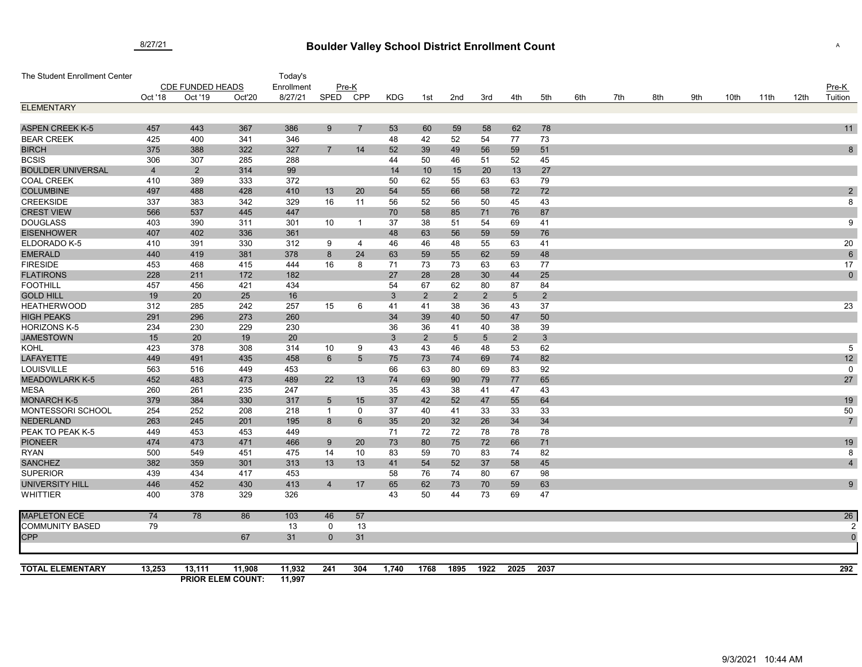## **Boulder Valley School District Enrollment Count** 8/27/21 <sup>A</sup>

| The Student Enrollment Center             |                         |                |                          | Today's    |                |                |            |                |                 |                 |                |                |     |     |     |     |      |      |      |                |
|-------------------------------------------|-------------------------|----------------|--------------------------|------------|----------------|----------------|------------|----------------|-----------------|-----------------|----------------|----------------|-----|-----|-----|-----|------|------|------|----------------|
|                                           | <b>CDE FUNDED HEADS</b> |                |                          | Enrollment |                | Pre-K          |            |                |                 |                 |                |                |     |     |     |     |      |      |      | $Pre-K$        |
|                                           | Oct '18                 | Oct '19        | Oct'20                   | 8/27/21    | SPED           | <b>CPP</b>     | <b>KDG</b> | 1st            | 2nd             | 3rd             | 4th            | 5th            | 6th | 7th | 8th | 9th | 10th | 11th | 12th | Tuition        |
| <b>ELEMENTARY</b>                         |                         |                |                          |            |                |                |            |                |                 |                 |                |                |     |     |     |     |      |      |      |                |
|                                           |                         |                |                          |            |                |                |            |                |                 |                 |                |                |     |     |     |     |      |      |      |                |
| <b>ASPEN CREEK K-5</b>                    | 457                     | 443            | 367                      | 386        | 9              | $\overline{7}$ | 53         | 60             | 59              | 58              | 62             | 78             |     |     |     |     |      |      |      | 11             |
| <b>BEAR CREEK</b>                         | 425                     | 400            | 341                      | 346        |                |                | 48         | 42             | 52              | 54              | 77             | 73             |     |     |     |     |      |      |      |                |
| <b>BIRCH</b>                              | 375                     | 388            | 322                      | 327        | $\overline{7}$ | 14             | 52         | 39             | 49              | 56              | 59             | 51             |     |     |     |     |      |      |      | 8              |
| <b>BCSIS</b>                              | 306                     | 307            | 285                      | 288        |                |                | 44         | 50             | 46              | 51              | 52             | 45             |     |     |     |     |      |      |      |                |
| <b>BOULDER UNIVERSAL</b>                  | $\overline{4}$          | $\overline{2}$ | 314                      | 99         |                |                | 14         | 10             | 15              | 20              | 13             | 27             |     |     |     |     |      |      |      |                |
| <b>COAL CREEK</b>                         | 410                     | 389            | 333                      | 372        |                |                | 50         | 62             | 55              | 63              | 63             | 79             |     |     |     |     |      |      |      |                |
| <b>COLUMBINE</b>                          | 497                     | 488            | 428                      | 410        | 13             | 20             | 54         | 55             | 66              | 58              | 72             | 72             |     |     |     |     |      |      |      | $\sqrt{2}$     |
| <b>CREEKSIDE</b>                          | 337                     | 383            | 342                      | 329        | 16             | 11             | 56         | 52             | 56              | 50              | 45             | 43             |     |     |     |     |      |      |      | 8              |
| <b>CREST VIEW</b>                         | 566                     | 537            | 445                      | 447        |                |                | 70         | 58             | 85              | 71              | 76             | 87             |     |     |     |     |      |      |      |                |
| <b>DOUGLASS</b>                           | 403                     | 390            | 311                      | 301        | 10             | $\overline{1}$ | 37         | 38             | 51              | 54              | 69             | 41             |     |     |     |     |      |      |      | 9              |
| <b>EISENHOWER</b>                         | 407                     | 402            | 336                      | 361        |                |                | 48         | 63             | 56              | 59              | 59             | 76             |     |     |     |     |      |      |      |                |
| ELDORADO K-5                              | 410                     | 391            | 330                      | 312        | 9              | 4              | 46         | 46             | 48              | 55              | 63             | 41             |     |     |     |     |      |      |      | 20             |
| <b>EMERALD</b>                            | 440                     | 419            | 381                      | 378        | 8              | 24             | 63         | 59             | 55              | 62              | 59             | 48             |     |     |     |     |      |      |      | $6\phantom{1}$ |
| <b>FIRESIDE</b>                           | 453                     | 468            | 415                      | 444        | 16             | 8              | 71         | 73             | 73              | 63              | 63             | 77             |     |     |     |     |      |      |      | 17             |
| <b>FLATIRONS</b>                          | 228                     | 211            | 172                      | 182        |                |                | 27         | 28             | 28              | 30              | 44             | 25             |     |     |     |     |      |      |      | $\pmb{0}$      |
| <b>FOOTHILL</b>                           | 457                     | 456            | 421                      | 434        |                |                | 54         | 67             | 62              | 80              | 87             | 84             |     |     |     |     |      |      |      |                |
| <b>GOLD HILL</b>                          | 19                      | 20             | 25                       | 16         |                |                | 3          | 2              | $\overline{2}$  | 2               | $\sqrt{5}$     | $\overline{2}$ |     |     |     |     |      |      |      |                |
| <b>HEATHERWOOD</b>                        | 312                     | 285            | 242                      | 257        | 15             | 6              | 41         | 41             | 38              | 36              | 43             | 37             |     |     |     |     |      |      |      | 23             |
| <b>HIGH PEAKS</b>                         | 291                     | 296            | 273                      | 260        |                |                | 34         | 39             | 40              | 50              | 47             | 50             |     |     |     |     |      |      |      |                |
| <b>HORIZONS K-5</b>                       | 234                     | 230            | 229                      | 230        |                |                | 36         | 36             | 41              | 40              | 38             | 39             |     |     |     |     |      |      |      |                |
| <b>JAMESTOWN</b>                          | 15                      | 20             | 19                       | 20         |                |                | 3          | $\overline{2}$ | $5\overline{)}$ | $5\phantom{.0}$ | $\overline{2}$ | $3\phantom{a}$ |     |     |     |     |      |      |      |                |
| <b>KOHL</b>                               | 423                     | 378            | 308                      | 314        | 10             | 9              | 43         | 43             | 46              | 48              | 53             | 62             |     |     |     |     |      |      |      | 5              |
| <b>LAFAYETTE</b>                          | 449                     | 491            | 435                      | 458        | 6              | 5              | 75         | 73             | 74              | 69              | 74             | 82             |     |     |     |     |      |      |      | 12             |
| LOUISVILLE                                | 563                     | 516            | 449                      | 453        |                |                | 66         | 63             | 80              | 69              | 83             | 92             |     |     |     |     |      |      |      | $\mathbf 0$    |
| <b>MEADOWLARK K-5</b>                     | 452                     | 483            | 473                      | 489        | 22             | 13             | 74         | 69             | 90              | 79              | 77             | 65             |     |     |     |     |      |      |      | 27             |
| <b>MESA</b>                               | 260                     | 261            | 235                      | 247        |                |                | 35         | 43             | 38              | 41              | 47             | 43             |     |     |     |     |      |      |      |                |
| <b>MONARCH K-5</b>                        | 379                     | 384            | 330                      | 317        | $\overline{5}$ | 15             | 37         | 42             | 52              | 47              | 55             | 64             |     |     |     |     |      |      |      | 19             |
| MONTESSORI SCHOOL                         | 254                     | 252            | 208                      | 218        | $\overline{1}$ | 0              | 37         | 40             | 41              | 33              | 33             | 33             |     |     |     |     |      |      |      | 50             |
| <b>NEDERLAND</b>                          | 263                     | 245            | 201                      | 195        | 8              | 6              | 35         | 20             | 32              | 26              | 34             | 34             |     |     |     |     |      |      |      | $\overline{7}$ |
| PEAK TO PEAK K-5                          | 449                     | 453            | 453                      | 449        |                |                | 71         | 72             | 72              | 78              | 78             | 78             |     |     |     |     |      |      |      |                |
| <b>PIONEER</b>                            | 474                     | 473            | 471                      | 466        | 9              | 20             | 73         | 80             | 75              | 72              | 66             | 71             |     |     |     |     |      |      |      | 19             |
| <b>RYAN</b>                               | 500                     | 549            | 451                      | 475        | 14             | 10             | 83         | 59             | 70              | 83              | 74             | 82             |     |     |     |     |      |      |      | 8              |
| <b>SANCHEZ</b>                            | 382                     | 359<br>434     | 301                      | 313        | 13             | 13             | 41         | 54             | 52              | 37              | 58             | 45<br>98       |     |     |     |     |      |      |      | $\overline{4}$ |
| <b>SUPERIOR</b>                           | 439                     |                | 417                      | 453<br>413 |                |                | 58         | 76             | 74              | 80              | 67             |                |     |     |     |     |      |      |      |                |
| <b>UNIVERSITY HILL</b><br><b>WHITTIER</b> | 446<br>400              | 452<br>378     | 430<br>329               | 326        | $\overline{4}$ | 17             | 65<br>43   | 62             | 73<br>44        | 70              | 59<br>69       | 63<br>47       |     |     |     |     |      |      |      | 9              |
|                                           |                         |                |                          |            |                |                |            | 50             |                 | 73              |                |                |     |     |     |     |      |      |      |                |
| <b>MAPLETON ECE</b>                       | 74                      | 78             | 86                       | 103        | 46             | 57             |            |                |                 |                 |                |                |     |     |     |     |      |      |      | 26             |
| <b>COMMUNITY BASED</b>                    | 79                      |                |                          | 13         | 0              | 13             |            |                |                 |                 |                |                |     |     |     |     |      |      |      |                |
| CPP                                       |                         |                | 67                       | 31         | $\overline{0}$ | 31             |            |                |                 |                 |                |                |     |     |     |     |      |      |      | $\overline{0}$ |
|                                           |                         |                |                          |            |                |                |            |                |                 |                 |                |                |     |     |     |     |      |      |      |                |
|                                           |                         |                |                          |            |                |                |            |                |                 |                 |                |                |     |     |     |     |      |      |      |                |
| <b>TOTAL ELEMENTARY</b>                   | 13,253                  | 13,111         | 11,908                   | 11,932     | 241            | 304            | 1,740      | 1768           | 1895            | 1922            | 2025           | 2037           |     |     |     |     |      |      |      | 292            |
|                                           |                         |                | <b>PRIOR ELEM COUNT:</b> | 11,997     |                |                |            |                |                 |                 |                |                |     |     |     |     |      |      |      |                |